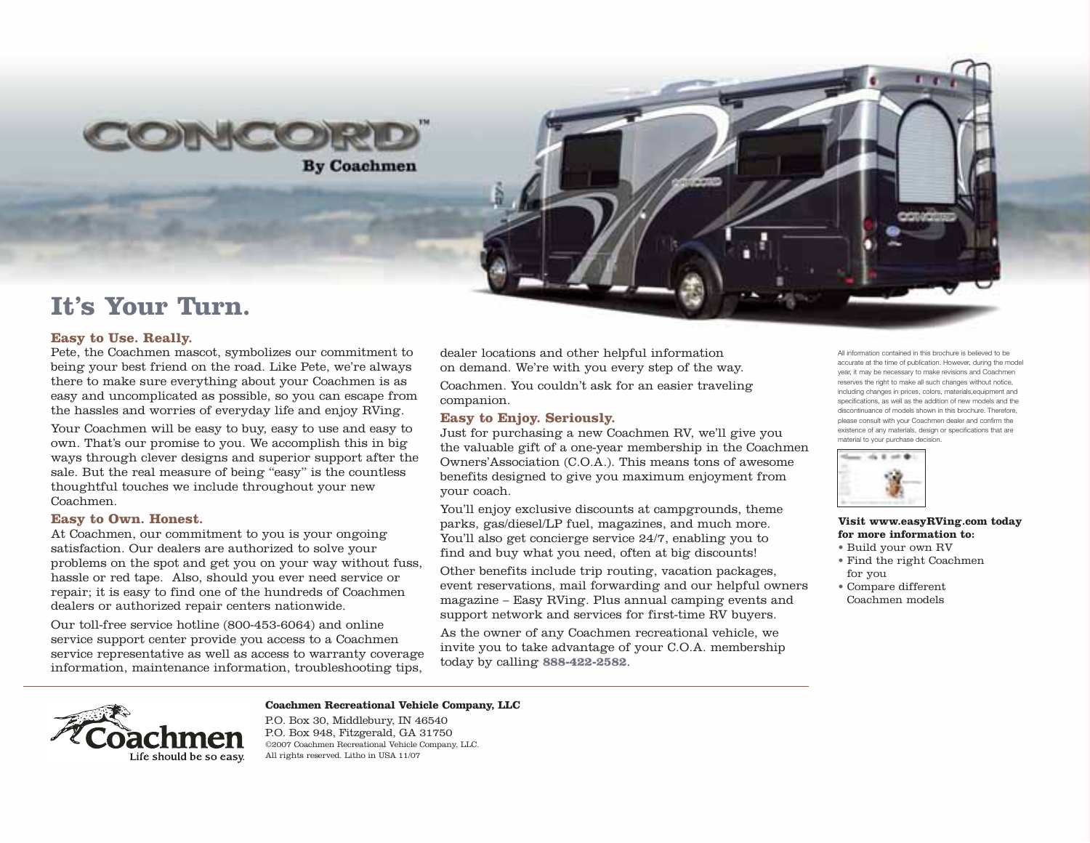

**By Coachmen** 

# **It's Your Turn.**

## **Easy to Use. Really.**

Pete, the Coachmen mascot, symbolizes our commitment to being your best friend on the road. Like Pete, we're always there to make sure everything about your Coachmen is as easy and uncomplicated as possible, so you can escape from the hassles and worries of everyday life and enjoy RVing.

Your Coachmen will be easy to buy, easy to use and easy to own. That's our promise to you. We accomplish this in big ways through clever designs and superior support after the sale. But the real measure of being "easy" is the countless thoughtful touches we include throughout your new Coachmen.

## **Easy to Own. Honest.**

At Coachmen, our commitment to you is your ongoing satisfaction. Our dealers are authorized to solve your problems on the spot and get you on your way without fuss, hassle or red tape. Also, should you ever need service or repair; it is easy to find one of the hundreds of Coachmen dealers or authorized repair centers nationwide.

Our toll-free service hotline (800-453-6064) and online service support center provide you access to a Coachmen service representative as well as access to warranty coverage information, maintenance information, troubleshooting tips,

dealer locations and other helpful information on demand. We're with you every step of the way.

Coachmen. You couldn't ask for an easier traveling companion.

# **Easy to Enjoy. Seriously.**

Just for purchasing a new Coachmen RV, we'll give you the valuable gift of a one-year membership in the Coachmen Owners'Association (C.O.A.). This means tons of awesome benefits designed to give you maximum enjoyment from your coach.

You'll enjoy exclusive discounts at campgrounds, theme parks, gas/diesel/LP fuel, magazines, and much more. You'll also get concierge service 24/7, enabling you to find and buy what you need, often at big discounts!

Other benefits include trip routing, vacation packages, event reservations, mail forwarding and our helpful owners magazine – Easy RVing. Plus annual camping events and support network and services for first-time RV buyers.

As the owner of any Coachmen recreational vehicle, we invite you to take advantage of your C.O.A. membership today by calling **888-422-2582**.

All information contained in this brochure is believed to be accurate at the time of publication. However, during the model year, it may be necessary to make revisions and Coachmen reserves the right to make all such changes without notice, including changes in prices, colors, materials,equipment and specifications, as well as the addition of new models and the discontinuance of models shown in this brochure. Therefore, please consult with your Coachmen dealer and confirm the existence of any materials, design or specifications that are material to your purchase decision.



#### **Visit www.easyRVing.com today for more information to:**

- Build your own RV
- Find the right Coachmen for you
- Compare different Coachmen models



# **Coachmen Recreational Vehicle Company, LLC**

P.O. Box 30, Middlebury, IN 46540 P.O. Box 948, Fitzgerald, GA 31750 ©2007 Coachmen Recreational Vehicle Company, LLC. All rights reserved. Litho in USA 11/07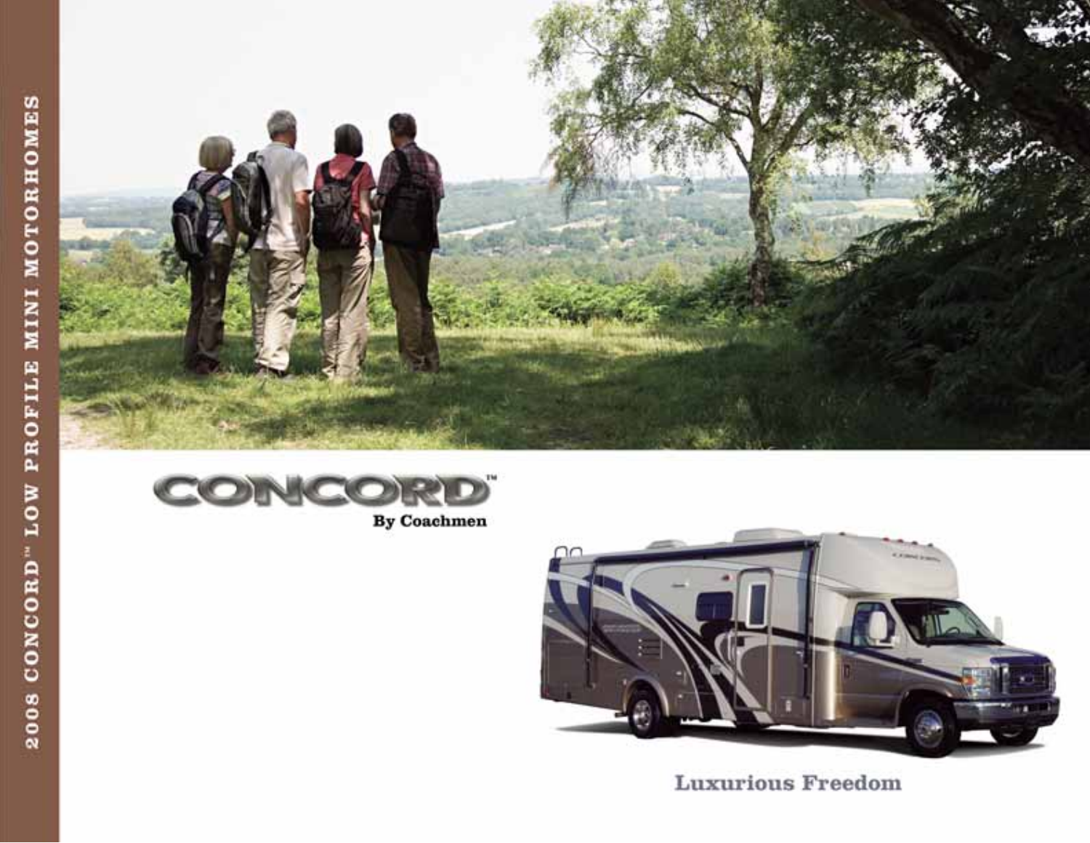



By Coachmen



**Luxurious Freedom**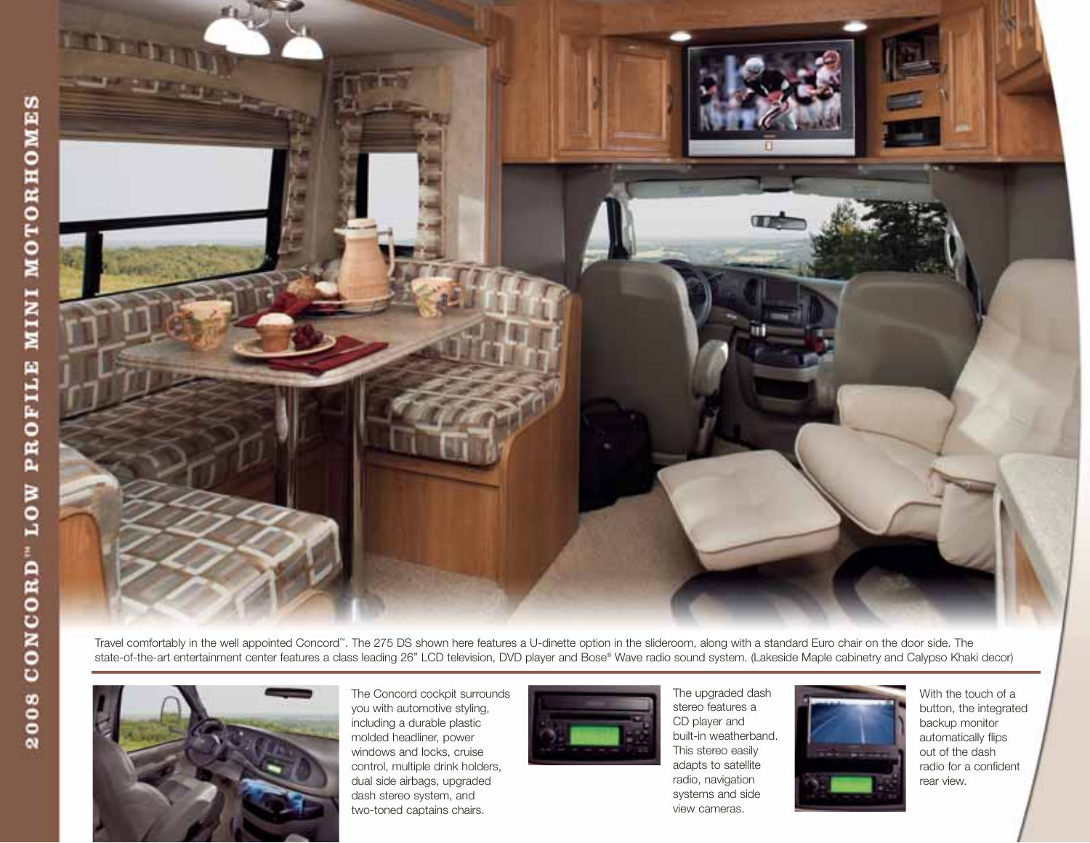

Travel comfortably in the well appointed Concord™. The 275 DS shown here features a U-dinette option in the slideroom, along with a standard Euro chair on the door side. The state-of-the-art entertainment center features a class leading 26" LCD television, DVD player and Bose® Wave radio sound system. (Lakeside Maple cabinetry and Calypso Khaki decor)



The Concord cockpit surrounds you with automotive styling, including a durable plastic molded headliner, power windows and locks, cruise control, multiple drink holders, dual side airbags, upgraded dash stereo system, and two-toned captains chairs.



The upgraded dash stereo features a CD player and built-in weatherband. This stereo easily adapts to satellite radio, navigation systems and side view cameras.



With the touch of a button, the integrated backup monitor automatically flips out of the dash radio for a confident rear view.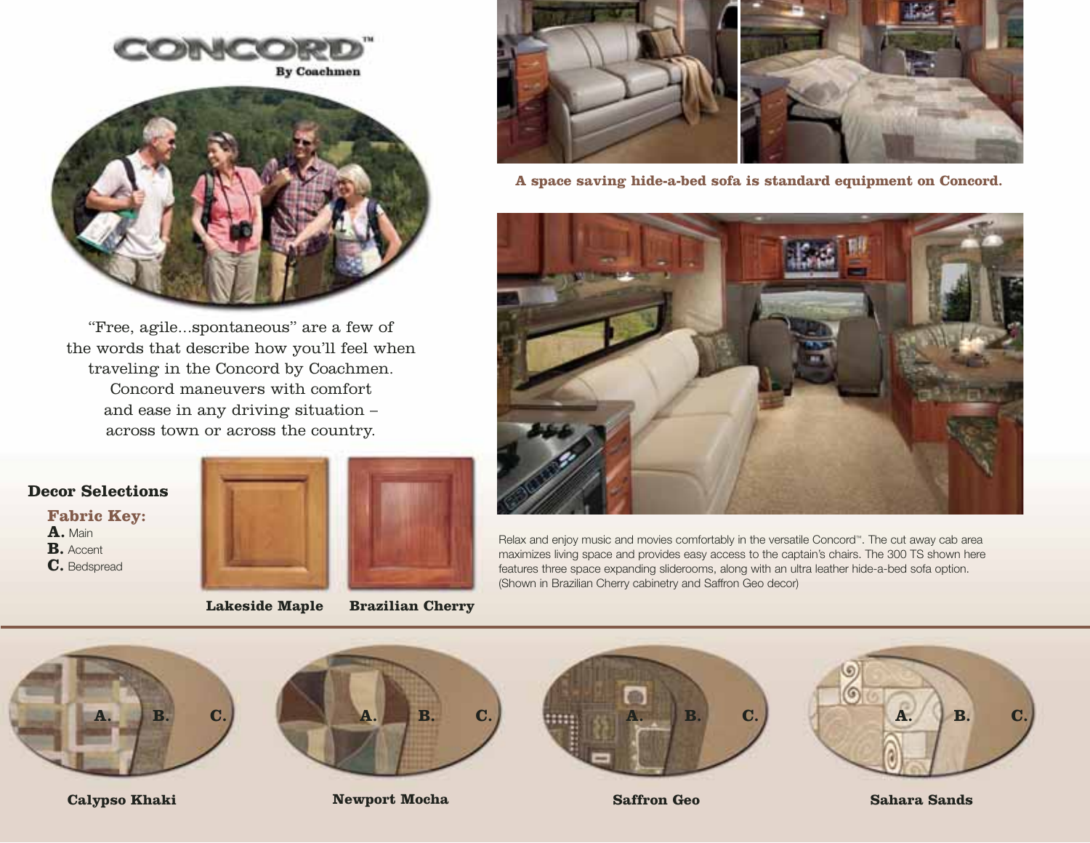



"Free, agile...spontaneous" are a few of the words that describe how you'll feel when traveling in the Concord by Coachmen. Concord maneuvers with comfort and ease in any driving situation – across town or across the country.

# **Decor Selections**

**Fabric Key:** 

**A.** Main **B.** Accent **C.** Bedspread



# **Lakeside Maple**

**Brazilian Cherry**



**A space saving hide-a-bed sofa is standard equipment on Concord.**



Relax and enjoy music and movies comfortably in the versatile Concord™. The cut away cab area maximizes living space and provides easy access to the captain's chairs. The 300 TS shown here features three space expanding sliderooms, along with an ultra leather hide-a-bed sofa option. (Shown in Brazilian Cherry cabinetry and Saffron Geo decor)





**Calypso Khaki Newport Mocha Saffron Geo**



**Sahara Sands**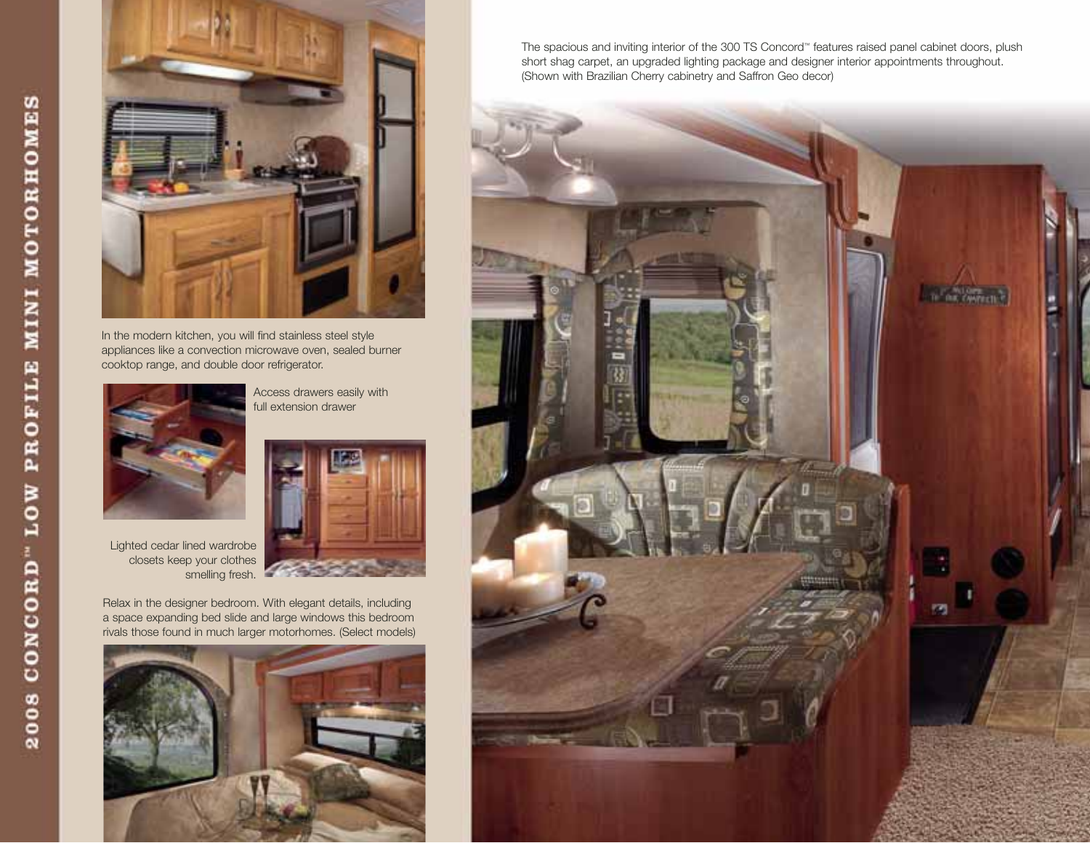

In the modern kitchen, you will find stainless steel style appliances like a convection microwave oven, sealed burner cooktop range, and double door refrigerator.



Access drawers easily with full extension drawer



Lighted cedar lined wardrobe closets keep your clothes smelling fresh.

Relax in the designer bedroom. With elegant details, including a space expanding bed slide and large windows this bedroom rivals those found in much larger motorhomes. (Select models)



The spacious and inviting interior of the 300 TS Concord™ features raised panel cabinet doors, plush short shag carpet, an upgraded lighting package and designer interior appointments throughout. (Shown with Brazilian Cherry cabinetry and Saffron Geo decor)

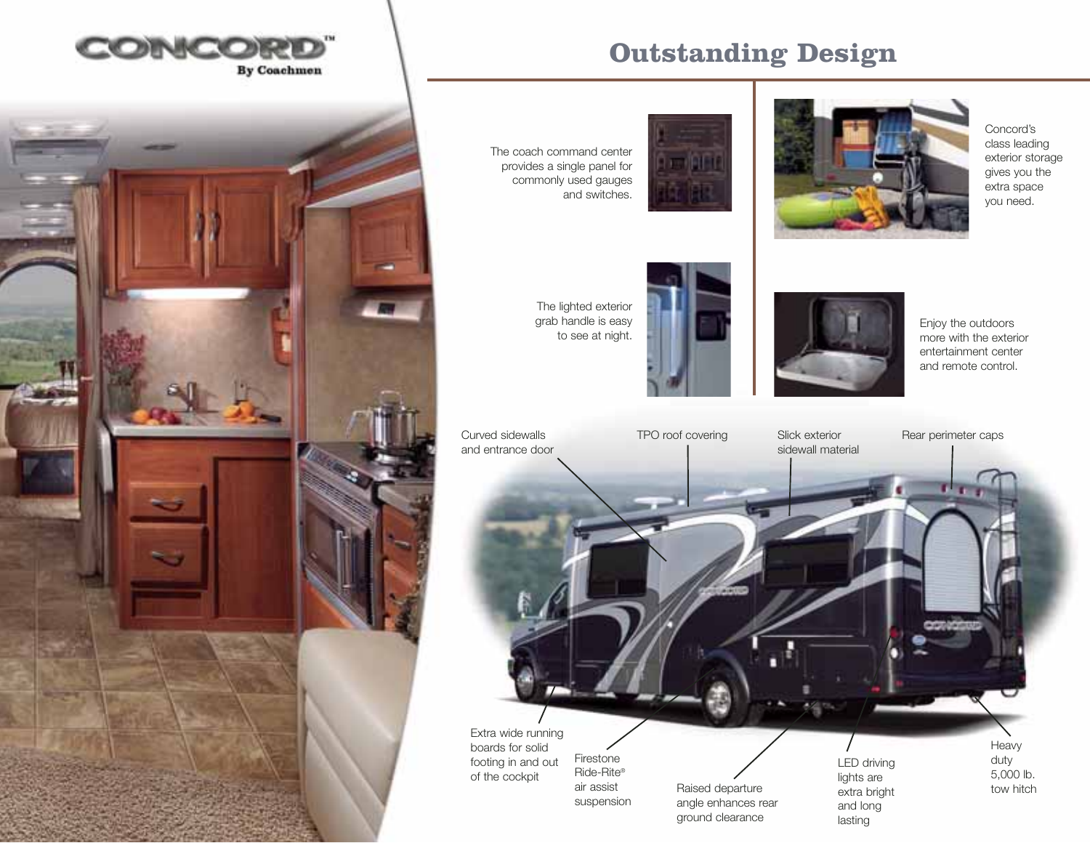





# The coach command center provides a single panel for commonly used gauges and switches.





Concord's class leading exterior storage gives you the extra space you need.

The lighted exterior grab handle is easy to see at night.





Enjoy the outdoors more with the exterior entertainment center and remote control.

LED driving Slick exterior sidewall material Curved sidewalls and entrance door Firestone Ride-Rite® TPO roof covering Slick exterior Rear perimeter caps

Extra wide running boards for solid footing in and out of the cockpit air assist suspension

Raised departure angle enhances rear ground clearance

lights are extra bright and long lasting

Heavy duty 5,000 lb. tow hitch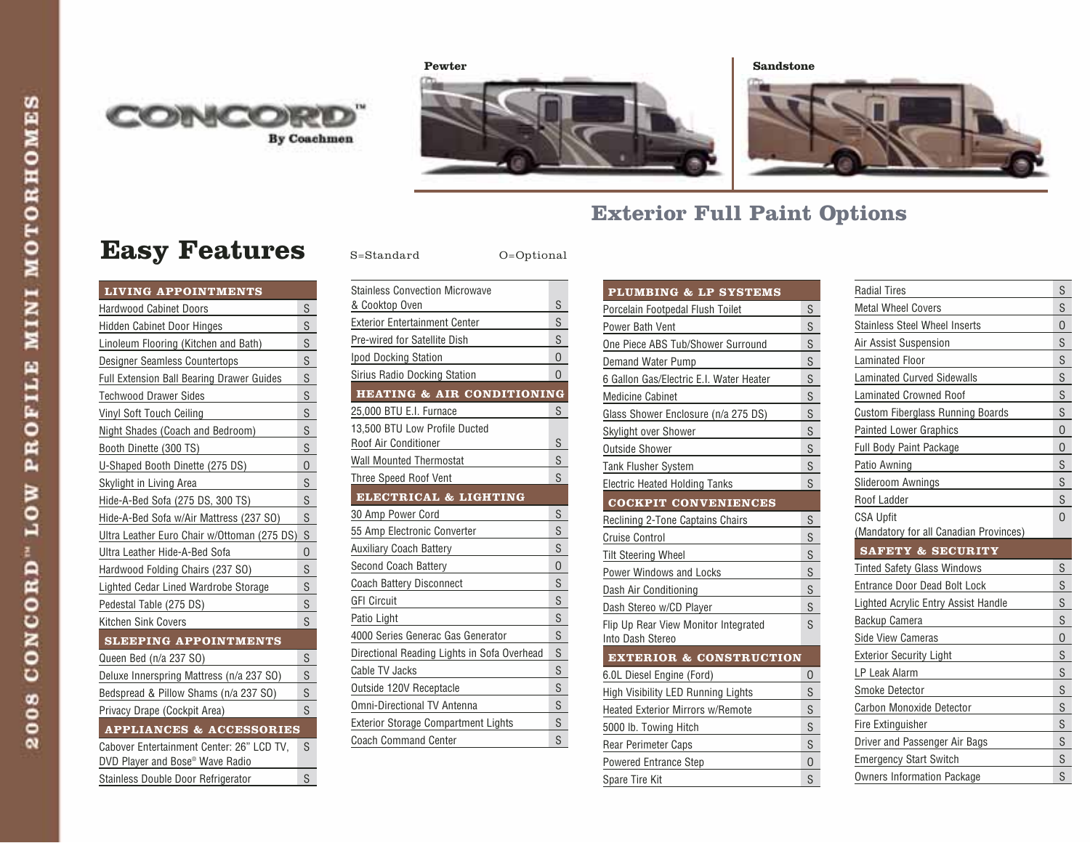





# **Exterior Full Paint Options**

# **Easy Features** S=Standard O=Optional

| <b>LIVING APPOINTMENTS</b>                                                               |                         |
|------------------------------------------------------------------------------------------|-------------------------|
| Hardwood Cabinet Doors                                                                   | S                       |
| <b>Hidden Cabinet Door Hinges</b>                                                        | $\overline{\mathsf{S}}$ |
| Linoleum Flooring (Kitchen and Bath)                                                     | S                       |
| Designer Seamless Countertops                                                            | S                       |
| <b>Full Extension Ball Bearing Drawer Guides</b>                                         | S                       |
| <b>Techwood Drawer Sides</b>                                                             | $\mathsf{S}$            |
| Vinyl Soft Touch Ceiling                                                                 | S                       |
| Night Shades (Coach and Bedroom)                                                         | S                       |
| Booth Dinette (300 TS)                                                                   | S                       |
| U-Shaped Booth Dinette (275 DS)                                                          | 0                       |
| Skylight in Living Area                                                                  | S                       |
| Hide-A-Bed Sofa (275 DS, 300 TS)                                                         | S                       |
| Hide-A-Bed Sofa w/Air Mattress (237 SO)                                                  | S                       |
| Ultra Leather Euro Chair w/Ottoman (275 DS)                                              | $\mathsf{S}$            |
| Ultra Leather Hide-A-Bed Sofa                                                            | 0                       |
| Hardwood Folding Chairs (237 SO)                                                         | S                       |
| Lighted Cedar Lined Wardrobe Storage                                                     | S                       |
| Pedestal Table (275 DS)                                                                  | S                       |
| Kitchen Sink Covers                                                                      | S                       |
| <b>SLEEPING APPOINTMENTS</b>                                                             |                         |
| Queen Bed (n/a 237 SO)                                                                   | $\mathsf{S}$            |
| Deluxe Innerspring Mattress (n/a 237 SO)                                                 | S                       |
| Bedspread & Pillow Shams (n/a 237 SO)                                                    | S                       |
| Privacy Drape (Cockpit Area)                                                             | S                       |
| <b>APPLIANCES &amp; ACCESSORIES</b>                                                      |                         |
| Cabover Entertainment Center: 26" LCD TV,<br>DVD Player and Bose <sup>®</sup> Wave Radio | S                       |
| Stainless Double Door Refrigerator                                                       | S                       |

| <b>Stainless Convection Microwave</b>       |                |
|---------------------------------------------|----------------|
| & Cooktop Oven                              | S              |
| <b>Exterior Entertainment Center</b>        | S              |
| Pre-wired for Satellite Dish                | S              |
| Ipod Docking Station                        | 0              |
| Sirius Radio Docking Station                | $\Omega$       |
| <b>HEATING &amp; AIR CONDITIONING</b>       |                |
| 25,000 BTU E.I. Furnace                     | S              |
| 13.500 BTU Low Profile Ducted               |                |
| Roof Air Conditioner                        | S              |
| <b>Wall Mounted Thermostat</b>              | S              |
| <b>Three Speed Roof Vent</b>                | S              |
| ELECTRICAL & LIGHTING                       |                |
| 30 Amp Power Cord                           | S              |
| 55 Amp Electronic Converter                 | S              |
| <b>Auxiliary Coach Battery</b>              | S              |
| Second Coach Battery                        | $\overline{0}$ |
| <b>Coach Battery Disconnect</b>             | S              |
| <b>GFI Circuit</b>                          | S              |
| Patio Light                                 | S              |
| 4000 Series Generac Gas Generator           | S              |
| Directional Reading Lights in Sofa Overhead | S              |
| Cable TV Jacks                              | S              |
| Outside 120V Receptacle                     | S              |
| <b>Omni-Directional TV Antenna</b>          | S              |
| <b>Exterior Storage Compartment Lights</b>  | S              |
| <b>Coach Command Center</b>                 | S              |

| <b>PLUMBING &amp; LP SYSTEMS</b>                         |                |
|----------------------------------------------------------|----------------|
| Porcelain Footpedal Flush Toilet                         | S              |
| Power Bath Vent                                          | S              |
| One Piece ABS Tub/Shower Surround                        | S              |
| Demand Water Pump                                        | S              |
| 6 Gallon Gas/Electric E.I. Water Heater                  | S              |
| <b>Medicine Cabinet</b>                                  | S              |
| Glass Shower Enclosure (n/a 275 DS)                      | S              |
| Skylight over Shower                                     | S              |
| <b>Outside Shower</b>                                    | S              |
| <b>Tank Flusher System</b>                               | S              |
| <b>Electric Heated Holding Tanks</b>                     | S              |
| <b>COCKPIT CONVENIENCES</b>                              |                |
| <b>Reclining 2-Tone Captains Chairs</b>                  | S              |
| <b>Cruise Control</b>                                    | S              |
| <b>Tilt Steering Wheel</b>                               | S              |
| Power Windows and Locks                                  | S              |
| Dash Air Conditioning                                    | S              |
| Dash Stereo w/CD Player                                  | S              |
| Flip Up Rear View Monitor Integrated<br>Into Dash Stereo | S              |
| <b>EXTERIOR &amp; CONSTRUCTION</b>                       |                |
| 6.0L Diesel Engine (Ford)                                | O              |
| High Visibility LED Running Lights                       | S              |
| <b>Heated Exterior Mirrors w/Remote</b>                  | S              |
| 5000 lb. Towing Hitch                                    | S              |
| <b>Rear Perimeter Caps</b>                               | S              |
| <b>Powered Entrance Step</b>                             | $\overline{0}$ |
| Spare Tire Kit                                           | S              |

| <b>Radial Tires</b>                     | S        |
|-----------------------------------------|----------|
| <b>Metal Wheel Covers</b>               | S        |
| Stainless Steel Wheel Inserts           | 0        |
| Air Assist Suspension                   | S        |
| Laminated Floor                         | S        |
| <b>Laminated Curved Sidewalls</b>       | S        |
| <b>Laminated Crowned Roof</b>           | S        |
| <b>Custom Fiberglass Running Boards</b> | S        |
| <b>Painted Lower Graphics</b>           | 0        |
| Full Body Paint Package                 | 0        |
| Patio Awning                            | S        |
| Slideroom Awnings                       | S        |
| Roof Ladder                             | S        |
| <b>CSA Upfit</b>                        | $\Omega$ |
| (Mandatory for all Canadian Provinces)  |          |
| SAFETY & SECURITY                       |          |
| <b>Tinted Safety Glass Windows</b>      | S        |
| <b>Entrance Door Dead Bolt Lock</b>     | S        |
| Lighted Acrylic Entry Assist Handle     | S        |
| Backup Camera                           | S        |
| <b>Side View Cameras</b>                | 0        |
| <b>Exterior Security Light</b>          | S        |
| LP Leak Alarm                           | S        |
| Smoke Detector                          | S        |
| Carbon Monoxide Detector                | S        |
| Fire Extinguisher                       | S        |
| Driver and Passenger Air Bags           | S        |
| <b>Emergency Start Switch</b>           | S        |
| <b>Owners Information Package</b>       | S        |
|                                         |          |